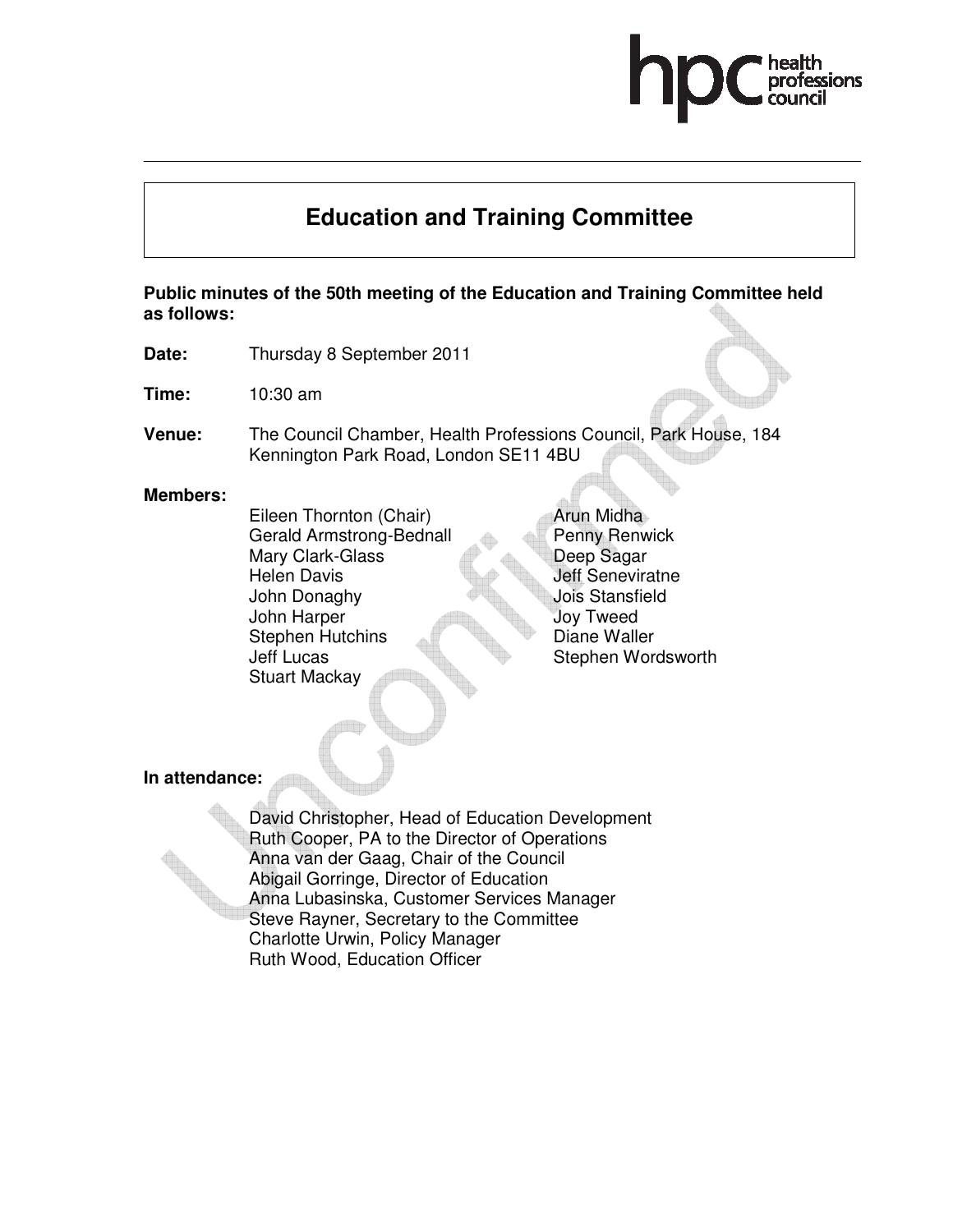# **Education and Training Committee**

**Public minutes of the 50th meeting of the Education and Training Committee held as follows:** 

- **Date:** Thursday 8 September 2011
- **Time:** 10:30 am
- **Venue:** The Council Chamber, Health Professions Council, Park House, 184 Kennington Park Road, London SE11 4BU

#### **Members:**

Eileen Thornton (Chair) Gerald Armstrong-Bednall Mary Clark-Glass Helen Davis John Donaghy John Harper Stephen Hutchins Jeff Lucas Stuart Mackay

Arun Midha Penny Renwick Deep Sagar Jeff Seneviratne Jois Stansfield Joy Tweed Diane Waller Stephen Wordsworth

**In attendance:** 

David Christopher, Head of Education Development Ruth Cooper, PA to the Director of Operations Anna van der Gaag, Chair of the Council Abigail Gorringe, Director of Education Anna Lubasinska, Customer Services Manager Steve Rayner, Secretary to the Committee Charlotte Urwin, Policy Manager Ruth Wood, Education Officer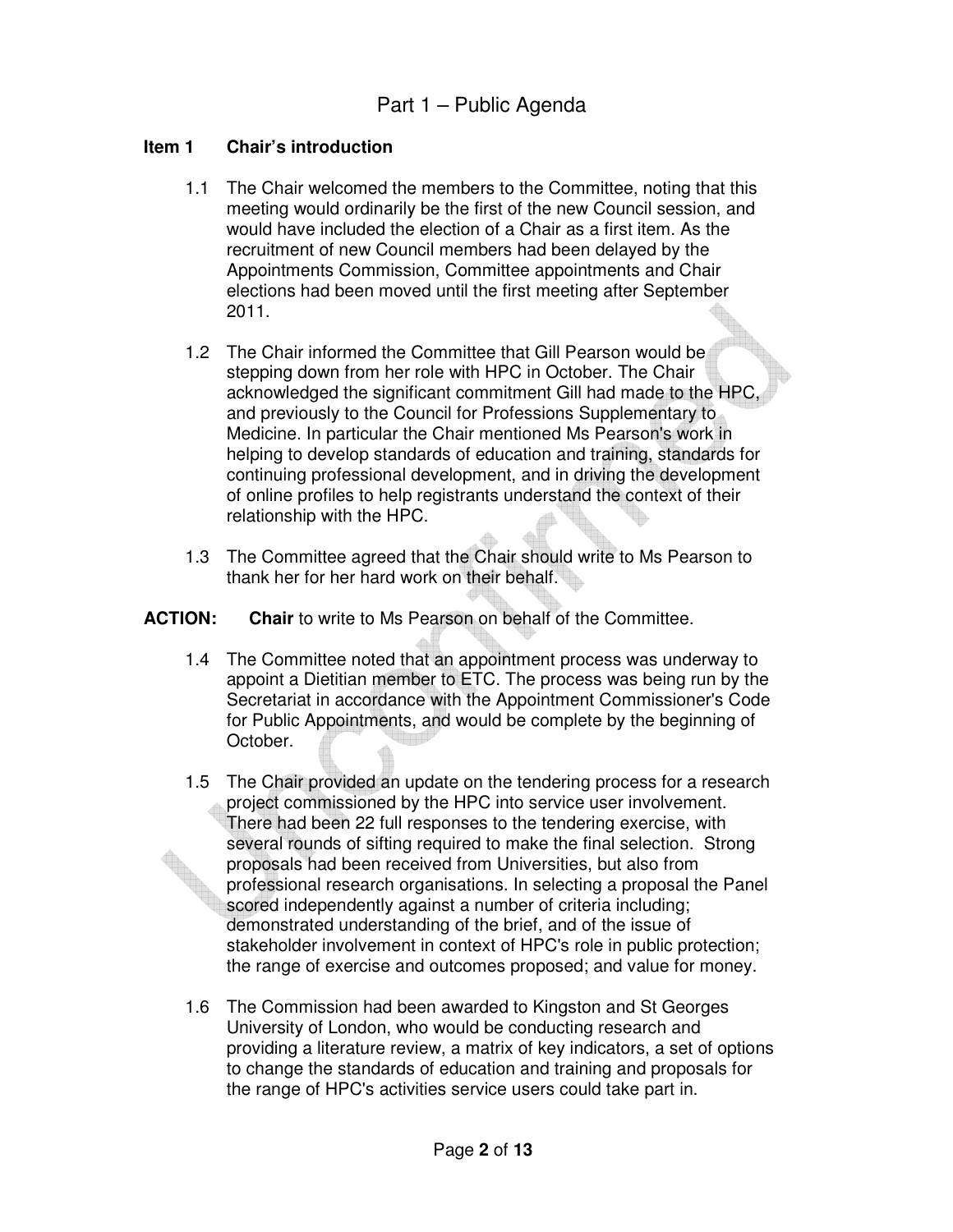#### **Item 1 Chair's introduction**

- 1.1 The Chair welcomed the members to the Committee, noting that this meeting would ordinarily be the first of the new Council session, and would have included the election of a Chair as a first item. As the recruitment of new Council members had been delayed by the Appointments Commission, Committee appointments and Chair elections had been moved until the first meeting after September 2011.
- 1.2 The Chair informed the Committee that Gill Pearson would be stepping down from her role with HPC in October. The Chair acknowledged the significant commitment Gill had made to the HPC, and previously to the Council for Professions Supplementary to Medicine. In particular the Chair mentioned Ms Pearson's work in helping to develop standards of education and training, standards for continuing professional development, and in driving the development of online profiles to help registrants understand the context of their relationship with the HPC.
- 1.3 The Committee agreed that the Chair should write to Ms Pearson to thank her for her hard work on their behalf.

#### **ACTION: Chair** to write to Ms Pearson on behalf of the Committee.

- 1.4 The Committee noted that an appointment process was underway to appoint a Dietitian member to ETC. The process was being run by the Secretariat in accordance with the Appointment Commissioner's Code for Public Appointments, and would be complete by the beginning of October.
- 1.5 The Chair provided an update on the tendering process for a research project commissioned by the HPC into service user involvement. There had been 22 full responses to the tendering exercise, with several rounds of sifting required to make the final selection. Strong proposals had been received from Universities, but also from professional research organisations. In selecting a proposal the Panel scored independently against a number of criteria including; demonstrated understanding of the brief, and of the issue of stakeholder involvement in context of HPC's role in public protection; the range of exercise and outcomes proposed; and value for money.
- 1.6 The Commission had been awarded to Kingston and St Georges University of London, who would be conducting research and providing a literature review, a matrix of key indicators, a set of options to change the standards of education and training and proposals for the range of HPC's activities service users could take part in.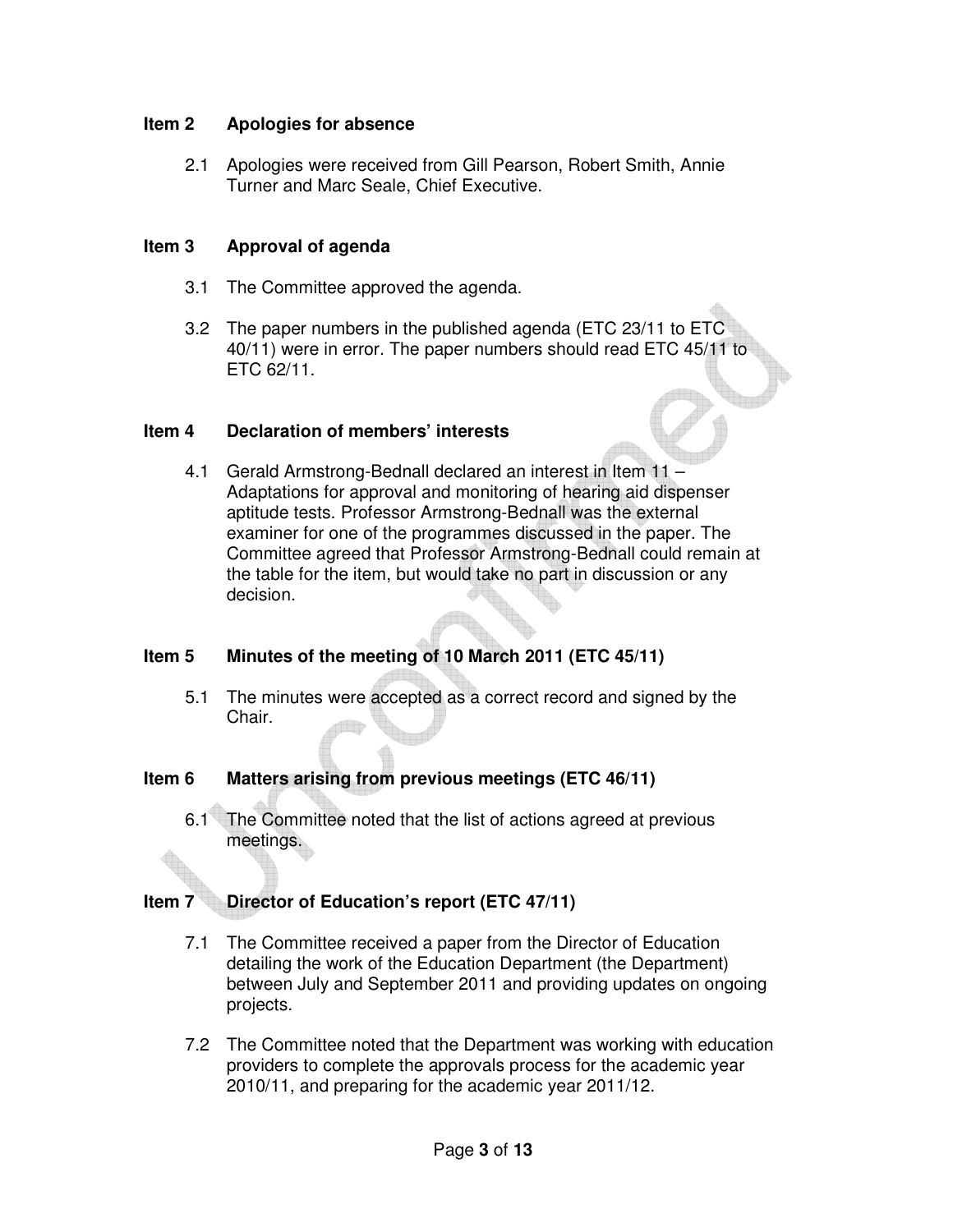#### **Item 2 Apologies for absence**

2.1 Apologies were received from Gill Pearson, Robert Smith, Annie Turner and Marc Seale, Chief Executive.

#### **Item 3 Approval of agenda**

- 3.1 The Committee approved the agenda.
- 3.2 The paper numbers in the published agenda (ETC 23/11 to ETC 40/11) were in error. The paper numbers should read ETC 45/11 to ETC 62/11.

#### **Item 4 Declaration of members' interests**

4.1 Gerald Armstrong-Bednall declared an interest in Item 11 – Adaptations for approval and monitoring of hearing aid dispenser aptitude tests. Professor Armstrong-Bednall was the external examiner for one of the programmes discussed in the paper. The Committee agreed that Professor Armstrong-Bednall could remain at the table for the item, but would take no part in discussion or any decision.

### **Item 5 Minutes of the meeting of 10 March 2011 (ETC 45/11)**

5.1 The minutes were accepted as a correct record and signed by the Chair.

### **Item 6 Matters arising from previous meetings (ETC 46/11)**

6.1 The Committee noted that the list of actions agreed at previous meetings.

### **Item 7 Director of Education's report (ETC 47/11)**

- 7.1 The Committee received a paper from the Director of Education detailing the work of the Education Department (the Department) between July and September 2011 and providing updates on ongoing projects.
- 7.2 The Committee noted that the Department was working with education providers to complete the approvals process for the academic year 2010/11, and preparing for the academic year 2011/12.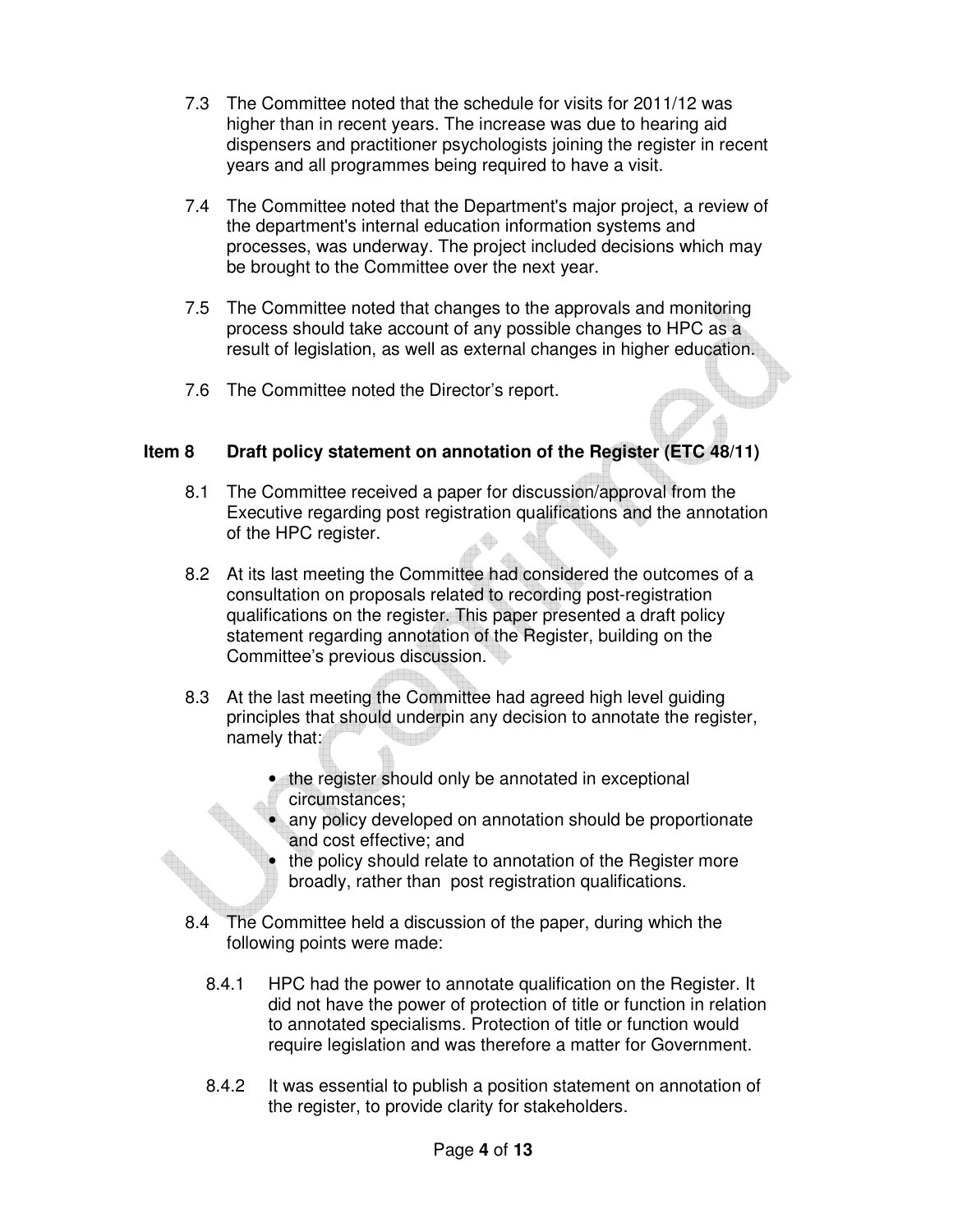- 7.3 The Committee noted that the schedule for visits for 2011/12 was higher than in recent years. The increase was due to hearing aid dispensers and practitioner psychologists joining the register in recent years and all programmes being required to have a visit.
- 7.4 The Committee noted that the Department's major project, a review of the department's internal education information systems and processes, was underway. The project included decisions which may be brought to the Committee over the next year.
- 7.5 The Committee noted that changes to the approvals and monitoring process should take account of any possible changes to HPC as a result of legislation, as well as external changes in higher education.
- 7.6 The Committee noted the Director's report.

# **Item 8 Draft policy statement on annotation of the Register (ETC 48/11)**

- 8.1 The Committee received a paper for discussion/approval from the Executive regarding post registration qualifications and the annotation of the HPC register.
- 8.2 At its last meeting the Committee had considered the outcomes of a consultation on proposals related to recording post-registration qualifications on the register. This paper presented a draft policy statement regarding annotation of the Register, building on the Committee's previous discussion.
- 8.3 At the last meeting the Committee had agreed high level guiding principles that should underpin any decision to annotate the register, namely that:
	- the register should only be annotated in exceptional circumstances;
	- any policy developed on annotation should be proportionate and cost effective; and
	- the policy should relate to annotation of the Register more broadly, rather than post registration qualifications.
- 8.4 The Committee held a discussion of the paper, during which the following points were made:
	- 8.4.1 HPC had the power to annotate qualification on the Register. It did not have the power of protection of title or function in relation to annotated specialisms. Protection of title or function would require legislation and was therefore a matter for Government.
	- 8.4.2 It was essential to publish a position statement on annotation of the register, to provide clarity for stakeholders.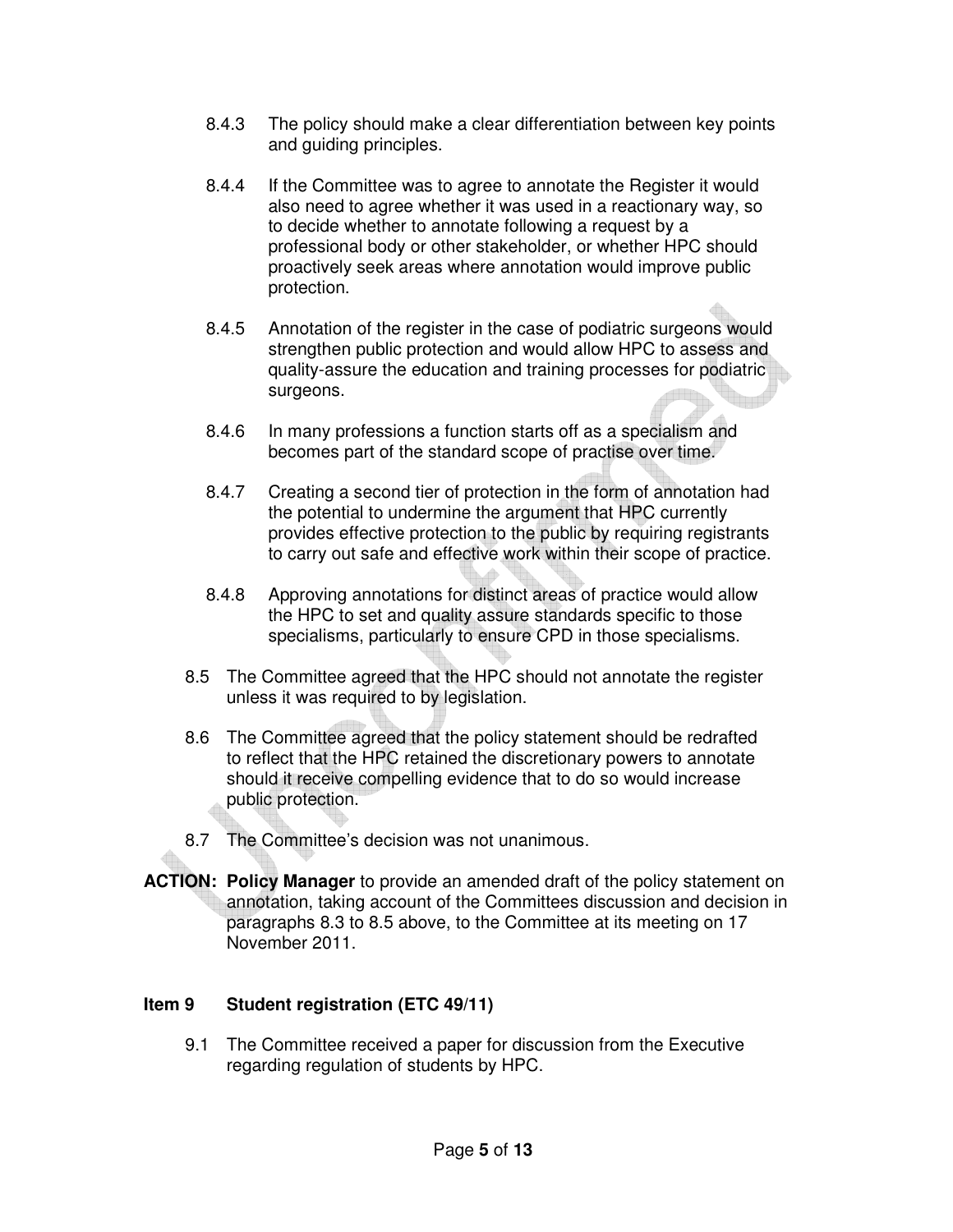- 8.4.3 The policy should make a clear differentiation between key points and guiding principles.
- 8.4.4 If the Committee was to agree to annotate the Register it would also need to agree whether it was used in a reactionary way, so to decide whether to annotate following a request by a professional body or other stakeholder, or whether HPC should proactively seek areas where annotation would improve public protection.
- 8.4.5 Annotation of the register in the case of podiatric surgeons would strengthen public protection and would allow HPC to assess and quality-assure the education and training processes for podiatric surgeons.
- 8.4.6 In many professions a function starts off as a specialism and becomes part of the standard scope of practise over time.
- 8.4.7 Creating a second tier of protection in the form of annotation had the potential to undermine the argument that HPC currently provides effective protection to the public by requiring registrants to carry out safe and effective work within their scope of practice.
- 8.4.8 Approving annotations for distinct areas of practice would allow the HPC to set and quality assure standards specific to those specialisms, particularly to ensure CPD in those specialisms.
- 8.5 The Committee agreed that the HPC should not annotate the register unless it was required to by legislation.
- 8.6 The Committee agreed that the policy statement should be redrafted to reflect that the HPC retained the discretionary powers to annotate should it receive compelling evidence that to do so would increase public protection.
- 8.7 The Committee's decision was not unanimous.
- **ACTION: Policy Manager** to provide an amended draft of the policy statement on annotation, taking account of the Committees discussion and decision in paragraphs 8.3 to 8.5 above, to the Committee at its meeting on 17 November 2011.

### **Item 9 Student registration (ETC 49/11)**

9.1 The Committee received a paper for discussion from the Executive regarding regulation of students by HPC.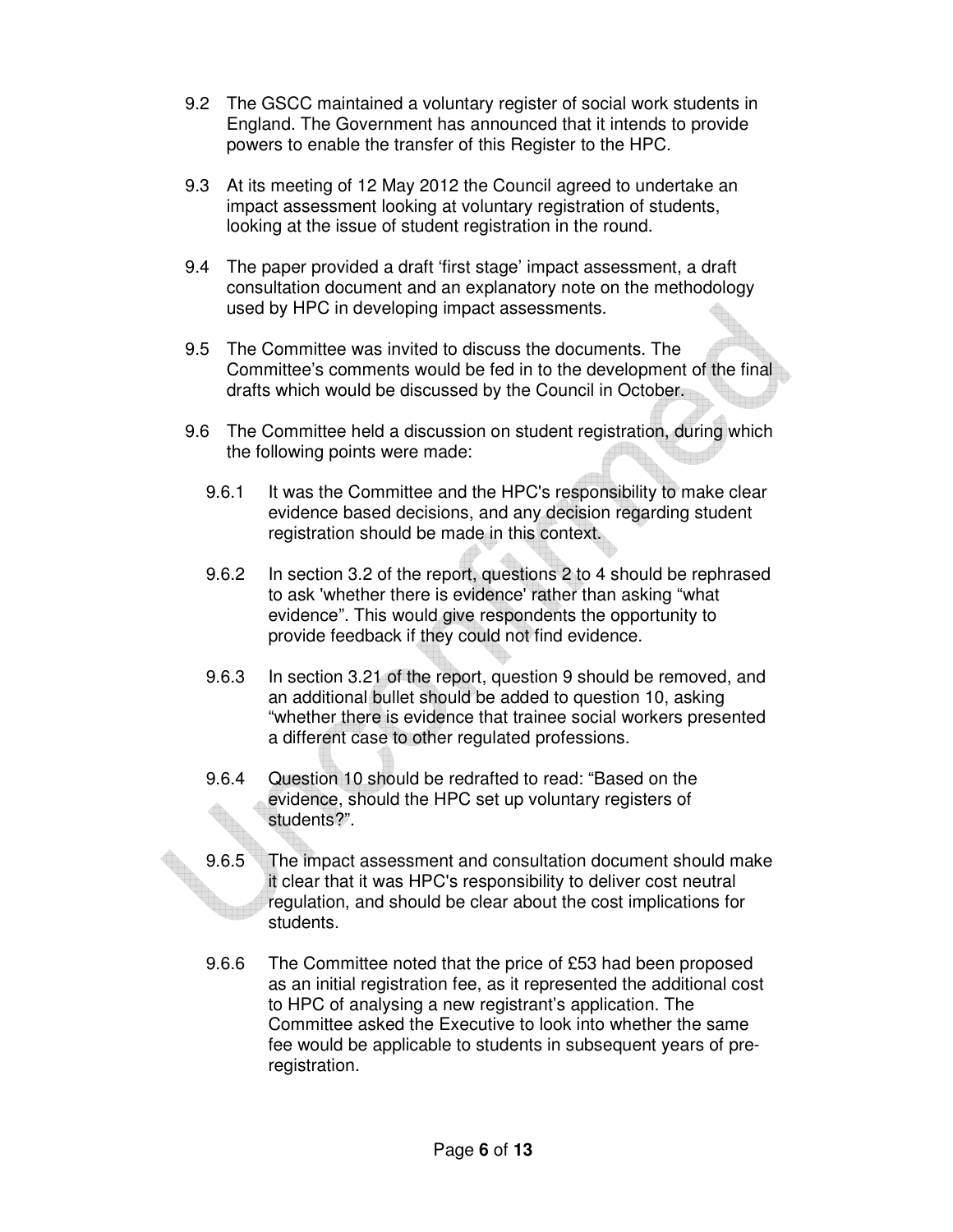- 9.2 The GSCC maintained a voluntary register of social work students in England. The Government has announced that it intends to provide powers to enable the transfer of this Register to the HPC.
- 9.3 At its meeting of 12 May 2012 the Council agreed to undertake an impact assessment looking at voluntary registration of students, looking at the issue of student registration in the round.
- 9.4 The paper provided a draft 'first stage' impact assessment, a draft consultation document and an explanatory note on the methodology used by HPC in developing impact assessments.
- 9.5 The Committee was invited to discuss the documents. The Committee's comments would be fed in to the development of the final drafts which would be discussed by the Council in October.
- 9.6 The Committee held a discussion on student registration, during which the following points were made:
	- 9.6.1 It was the Committee and the HPC's responsibility to make clear evidence based decisions, and any decision regarding student registration should be made in this context.
	- 9.6.2 In section 3.2 of the report, questions 2 to 4 should be rephrased to ask 'whether there is evidence' rather than asking "what evidence". This would give respondents the opportunity to provide feedback if they could not find evidence.
	- 9.6.3 In section 3.21 of the report, question 9 should be removed, and an additional bullet should be added to question 10, asking "whether there is evidence that trainee social workers presented a different case to other regulated professions.
	- 9.6.4 Question 10 should be redrafted to read: "Based on the evidence, should the HPC set up voluntary registers of students?".
	- 9.6.5 The impact assessment and consultation document should make it clear that it was HPC's responsibility to deliver cost neutral regulation, and should be clear about the cost implications for students.
	- 9.6.6 The Committee noted that the price of £53 had been proposed as an initial registration fee, as it represented the additional cost to HPC of analysing a new registrant's application. The Committee asked the Executive to look into whether the same fee would be applicable to students in subsequent years of preregistration.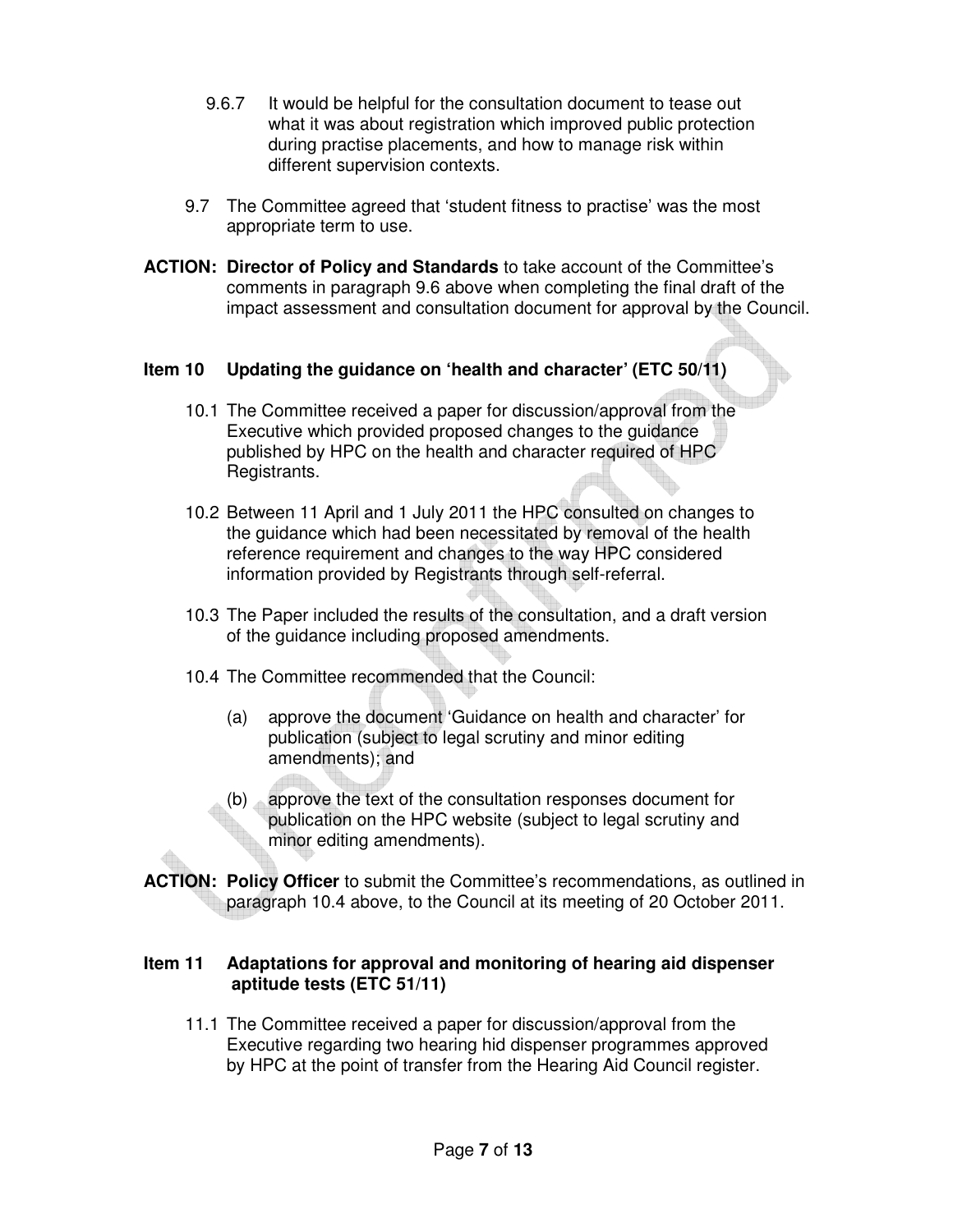- 9.6.7 It would be helpful for the consultation document to tease out what it was about registration which improved public protection during practise placements, and how to manage risk within different supervision contexts.
- 9.7 The Committee agreed that 'student fitness to practise' was the most appropriate term to use.
- **ACTION: Director of Policy and Standards** to take account of the Committee's comments in paragraph 9.6 above when completing the final draft of the impact assessment and consultation document for approval by the Council.

### **Item 10 Updating the guidance on 'health and character' (ETC 50/11)**

- 10.1 The Committee received a paper for discussion/approval from the Executive which provided proposed changes to the guidance published by HPC on the health and character required of HPC Registrants.
- 10.2 Between 11 April and 1 July 2011 the HPC consulted on changes to the guidance which had been necessitated by removal of the health reference requirement and changes to the way HPC considered information provided by Registrants through self-referral.
- 10.3 The Paper included the results of the consultation, and a draft version of the guidance including proposed amendments.
- 10.4 The Committee recommended that the Council:
	- (a) approve the document 'Guidance on health and character' for publication (subject to legal scrutiny and minor editing amendments); and
	- (b) approve the text of the consultation responses document for publication on the HPC website (subject to legal scrutiny and minor editing amendments).
- **ACTION: Policy Officer** to submit the Committee's recommendations, as outlined in paragraph 10.4 above, to the Council at its meeting of 20 October 2011.

#### **Item 11 Adaptations for approval and monitoring of hearing aid dispenser aptitude tests (ETC 51/11)**

11.1 The Committee received a paper for discussion/approval from the Executive regarding two hearing hid dispenser programmes approved by HPC at the point of transfer from the Hearing Aid Council register.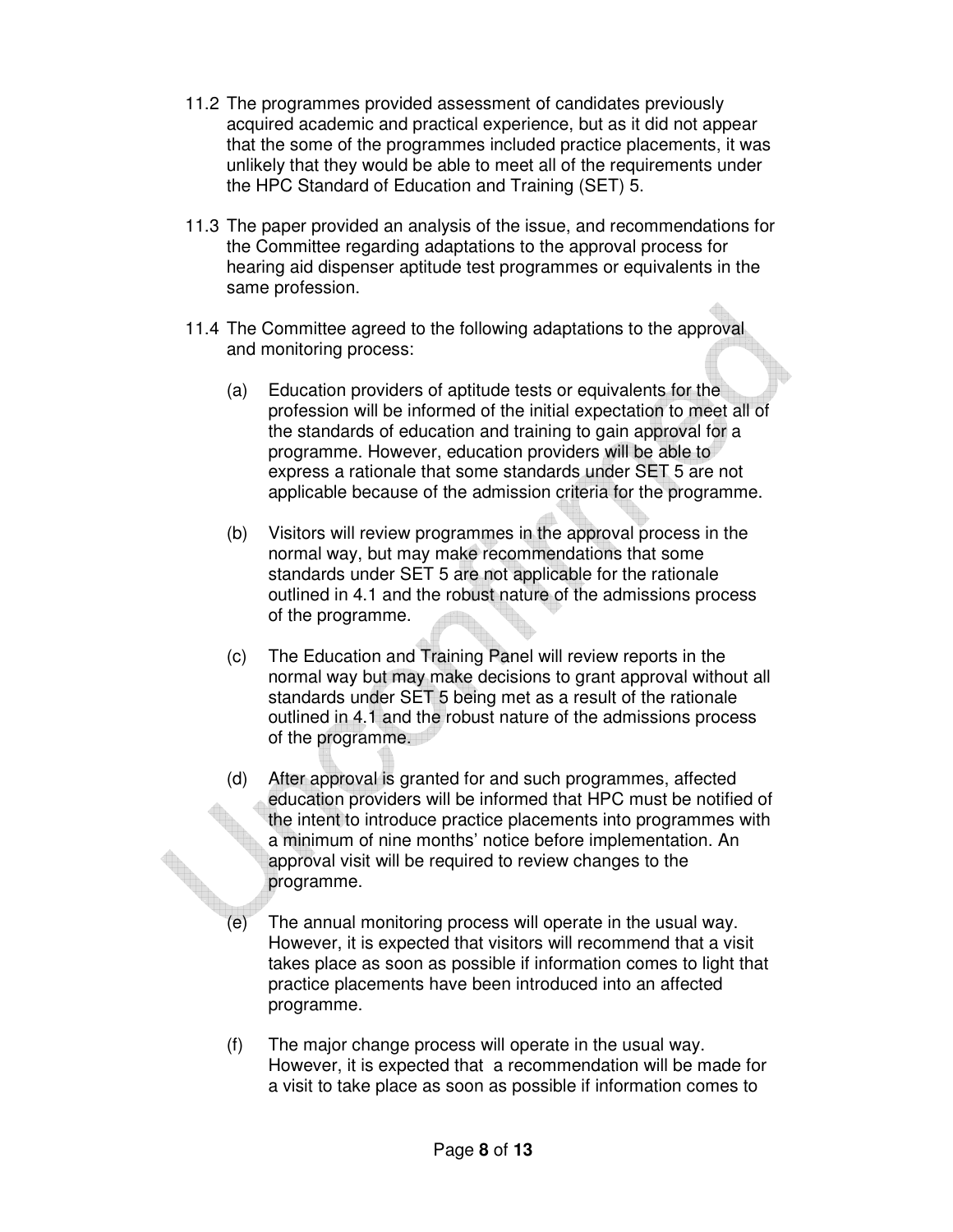- 11.2 The programmes provided assessment of candidates previously acquired academic and practical experience, but as it did not appear that the some of the programmes included practice placements, it was unlikely that they would be able to meet all of the requirements under the HPC Standard of Education and Training (SET) 5.
- 11.3 The paper provided an analysis of the issue, and recommendations for the Committee regarding adaptations to the approval process for hearing aid dispenser aptitude test programmes or equivalents in the same profession.
- 11.4 The Committee agreed to the following adaptations to the approval and monitoring process:
	- (a) Education providers of aptitude tests or equivalents for the profession will be informed of the initial expectation to meet all of the standards of education and training to gain approval for a programme. However, education providers will be able to express a rationale that some standards under SET 5 are not applicable because of the admission criteria for the programme.
	- (b) Visitors will review programmes in the approval process in the normal way, but may make recommendations that some standards under SET 5 are not applicable for the rationale outlined in 4.1 and the robust nature of the admissions process of the programme.
	- (c) The Education and Training Panel will review reports in the normal way but may make decisions to grant approval without all standards under SET 5 being met as a result of the rationale outlined in 4.1 and the robust nature of the admissions process of the programme.
	- (d) After approval is granted for and such programmes, affected education providers will be informed that HPC must be notified of the intent to introduce practice placements into programmes with a minimum of nine months' notice before implementation. An approval visit will be required to review changes to the programme.
	- (e) The annual monitoring process will operate in the usual way. However, it is expected that visitors will recommend that a visit takes place as soon as possible if information comes to light that practice placements have been introduced into an affected programme.
	- (f) The major change process will operate in the usual way. However, it is expected that a recommendation will be made for a visit to take place as soon as possible if information comes to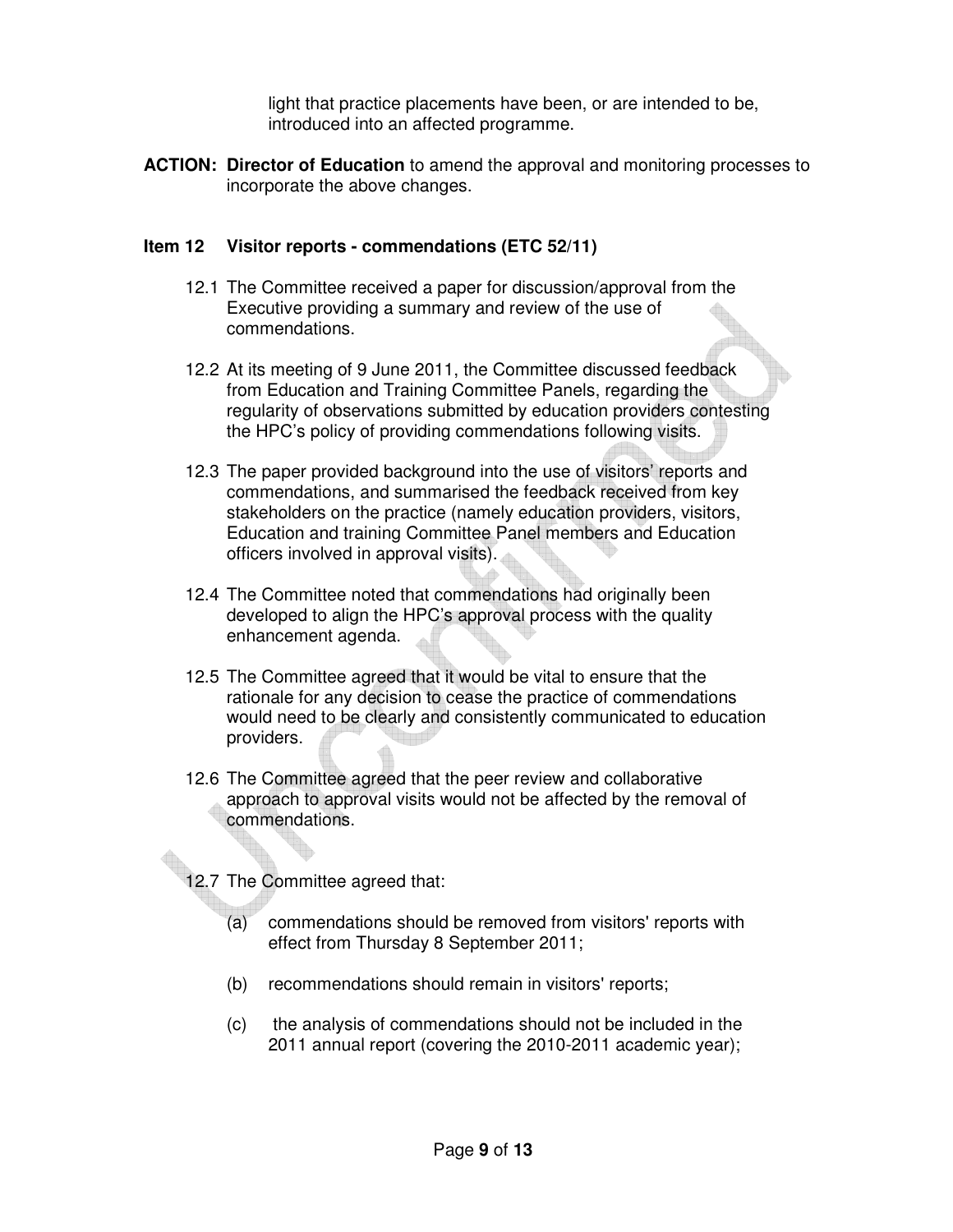light that practice placements have been, or are intended to be, introduced into an affected programme.

**ACTION: Director of Education** to amend the approval and monitoring processes to incorporate the above changes.

#### **Item 12 Visitor reports - commendations (ETC 52/11)**

- 12.1 The Committee received a paper for discussion/approval from the Executive providing a summary and review of the use of commendations.
- 12.2 At its meeting of 9 June 2011, the Committee discussed feedback from Education and Training Committee Panels, regarding the regularity of observations submitted by education providers contesting the HPC's policy of providing commendations following visits.
- 12.3 The paper provided background into the use of visitors' reports and commendations, and summarised the feedback received from key stakeholders on the practice (namely education providers, visitors, Education and training Committee Panel members and Education officers involved in approval visits).
- 12.4 The Committee noted that commendations had originally been developed to align the HPC's approval process with the quality enhancement agenda.
- 12.5 The Committee agreed that it would be vital to ensure that the rationale for any decision to cease the practice of commendations would need to be clearly and consistently communicated to education providers.
- 12.6 The Committee agreed that the peer review and collaborative approach to approval visits would not be affected by the removal of commendations.
- 12.7 The Committee agreed that:
	- (a) commendations should be removed from visitors' reports with effect from Thursday 8 September 2011;
	- (b) recommendations should remain in visitors' reports;
	- (c) the analysis of commendations should not be included in the 2011 annual report (covering the 2010-2011 academic year);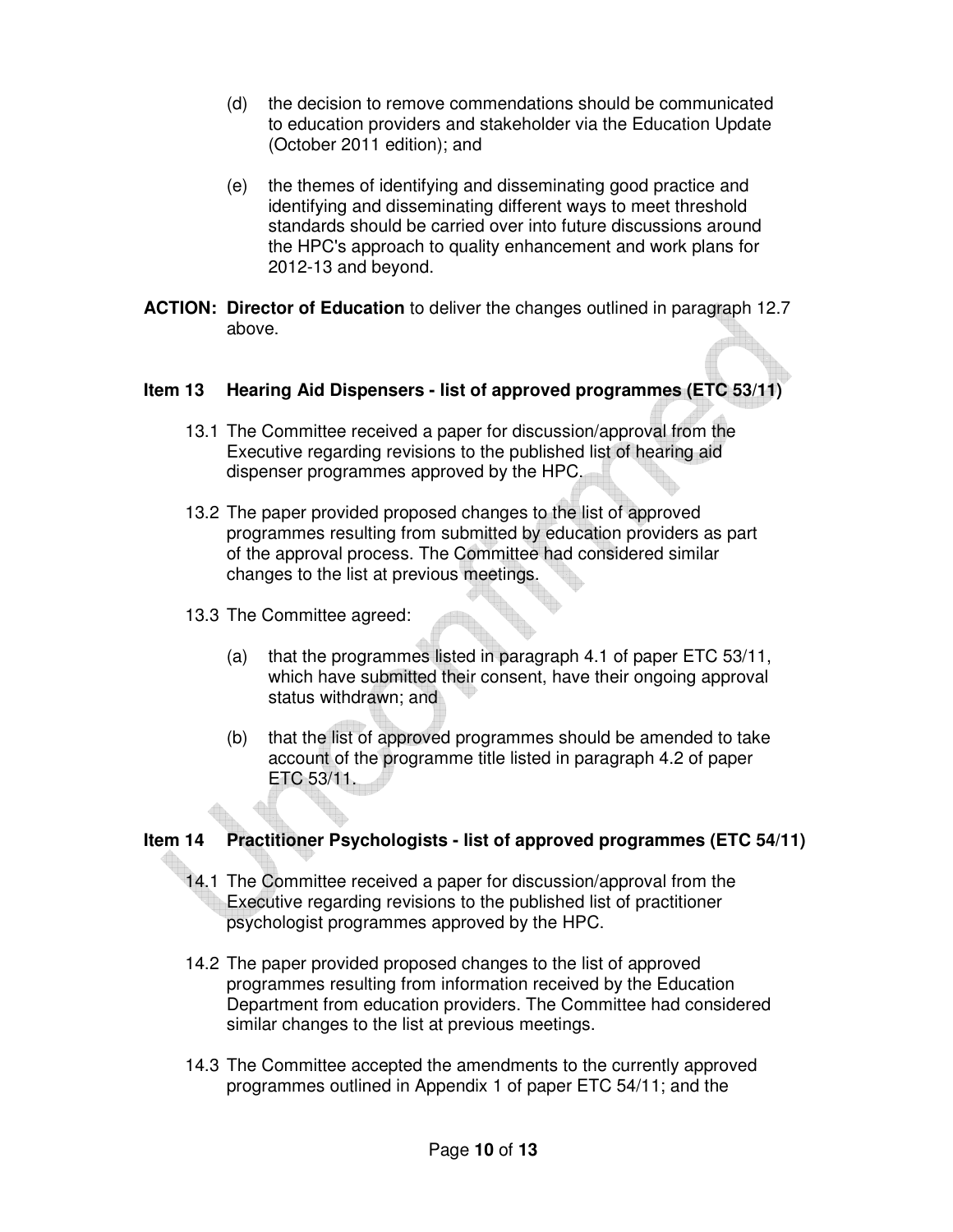- (d) the decision to remove commendations should be communicated to education providers and stakeholder via the Education Update (October 2011 edition); and
- (e) the themes of identifying and disseminating good practice and identifying and disseminating different ways to meet threshold standards should be carried over into future discussions around the HPC's approach to quality enhancement and work plans for 2012-13 and beyond.
- **ACTION: Director of Education** to deliver the changes outlined in paragraph 12.7 above.

### **Item 13 Hearing Aid Dispensers - list of approved programmes (ETC 53/11)**

- 13.1 The Committee received a paper for discussion/approval from the Executive regarding revisions to the published list of hearing aid dispenser programmes approved by the HPC.
- 13.2 The paper provided proposed changes to the list of approved programmes resulting from submitted by education providers as part of the approval process. The Committee had considered similar changes to the list at previous meetings.
- 13.3 The Committee agreed:
	- (a) that the programmes listed in paragraph 4.1 of paper ETC 53/11, which have submitted their consent, have their ongoing approval status withdrawn; and
	- (b) that the list of approved programmes should be amended to take account of the programme title listed in paragraph 4.2 of paper ETC 53/11.

### **Item 14 Practitioner Psychologists - list of approved programmes (ETC 54/11)**

- 14.1 The Committee received a paper for discussion/approval from the Executive regarding revisions to the published list of practitioner psychologist programmes approved by the HPC.
- 14.2 The paper provided proposed changes to the list of approved programmes resulting from information received by the Education Department from education providers. The Committee had considered similar changes to the list at previous meetings.
- 14.3 The Committee accepted the amendments to the currently approved programmes outlined in Appendix 1 of paper ETC 54/11; and the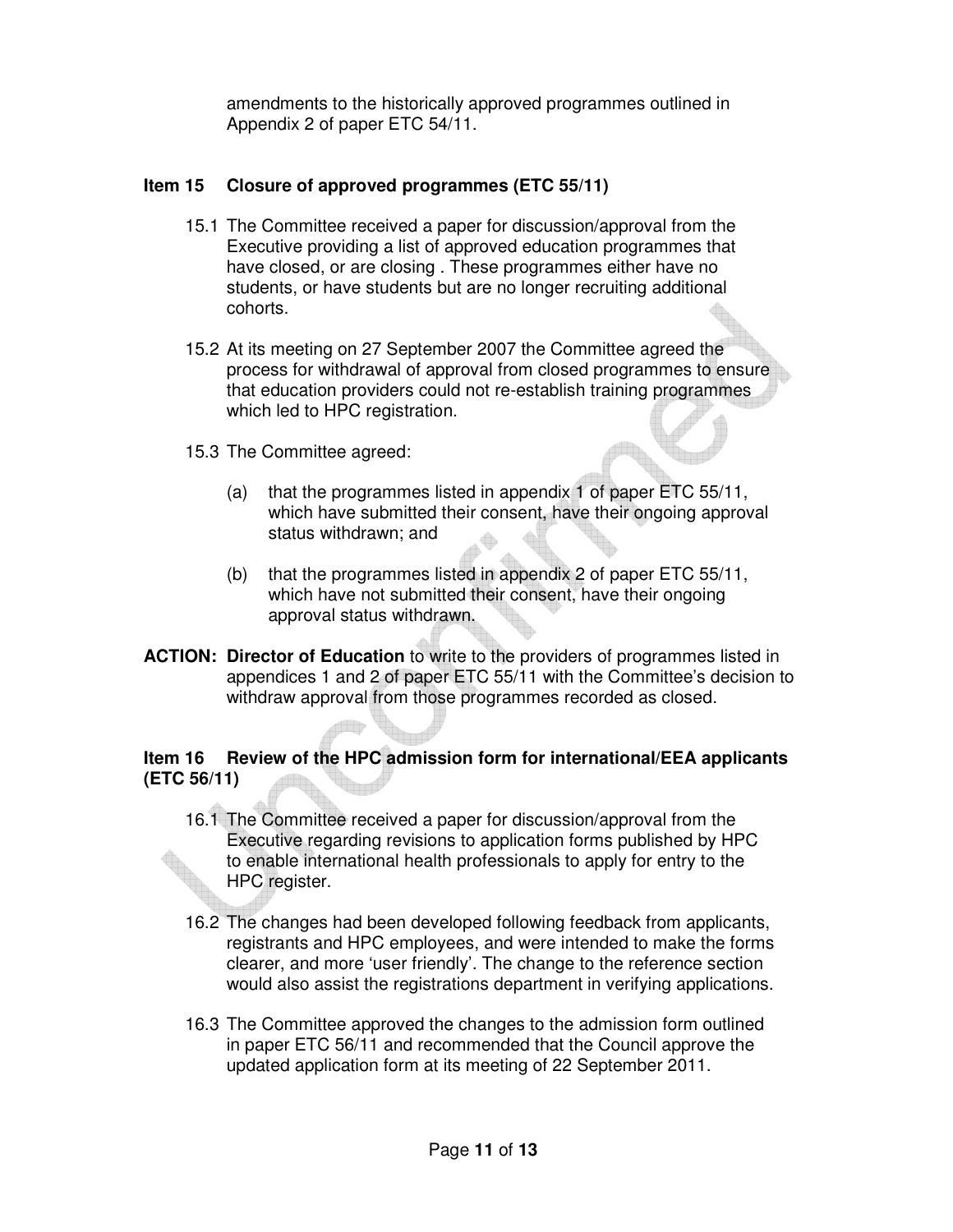amendments to the historically approved programmes outlined in Appendix 2 of paper ETC 54/11.

## **Item 15 Closure of approved programmes (ETC 55/11)**

- 15.1 The Committee received a paper for discussion/approval from the Executive providing a list of approved education programmes that have closed, or are closing . These programmes either have no students, or have students but are no longer recruiting additional cohorts.
- 15.2 At its meeting on 27 September 2007 the Committee agreed the process for withdrawal of approval from closed programmes to ensure that education providers could not re-establish training programmes which led to HPC registration.
- 15.3 The Committee agreed:
	- (a) that the programmes listed in appendix 1 of paper ETC 55/11, which have submitted their consent, have their ongoing approval status withdrawn; and
	- (b) that the programmes listed in appendix 2 of paper ETC 55/11, which have not submitted their consent, have their ongoing approval status withdrawn.
- **ACTION: Director of Education** to write to the providers of programmes listed in appendices 1 and 2 of paper ETC 55/11 with the Committee's decision to withdraw approval from those programmes recorded as closed.

# **Item 16 Review of the HPC admission form for international/EEA applicants (ETC 56/11)**

- 16.1 The Committee received a paper for discussion/approval from the Executive regarding revisions to application forms published by HPC to enable international health professionals to apply for entry to the HPC register.
- 16.2 The changes had been developed following feedback from applicants, registrants and HPC employees, and were intended to make the forms clearer, and more 'user friendly'. The change to the reference section would also assist the registrations department in verifying applications.
- 16.3 The Committee approved the changes to the admission form outlined in paper ETC 56/11 and recommended that the Council approve the updated application form at its meeting of 22 September 2011.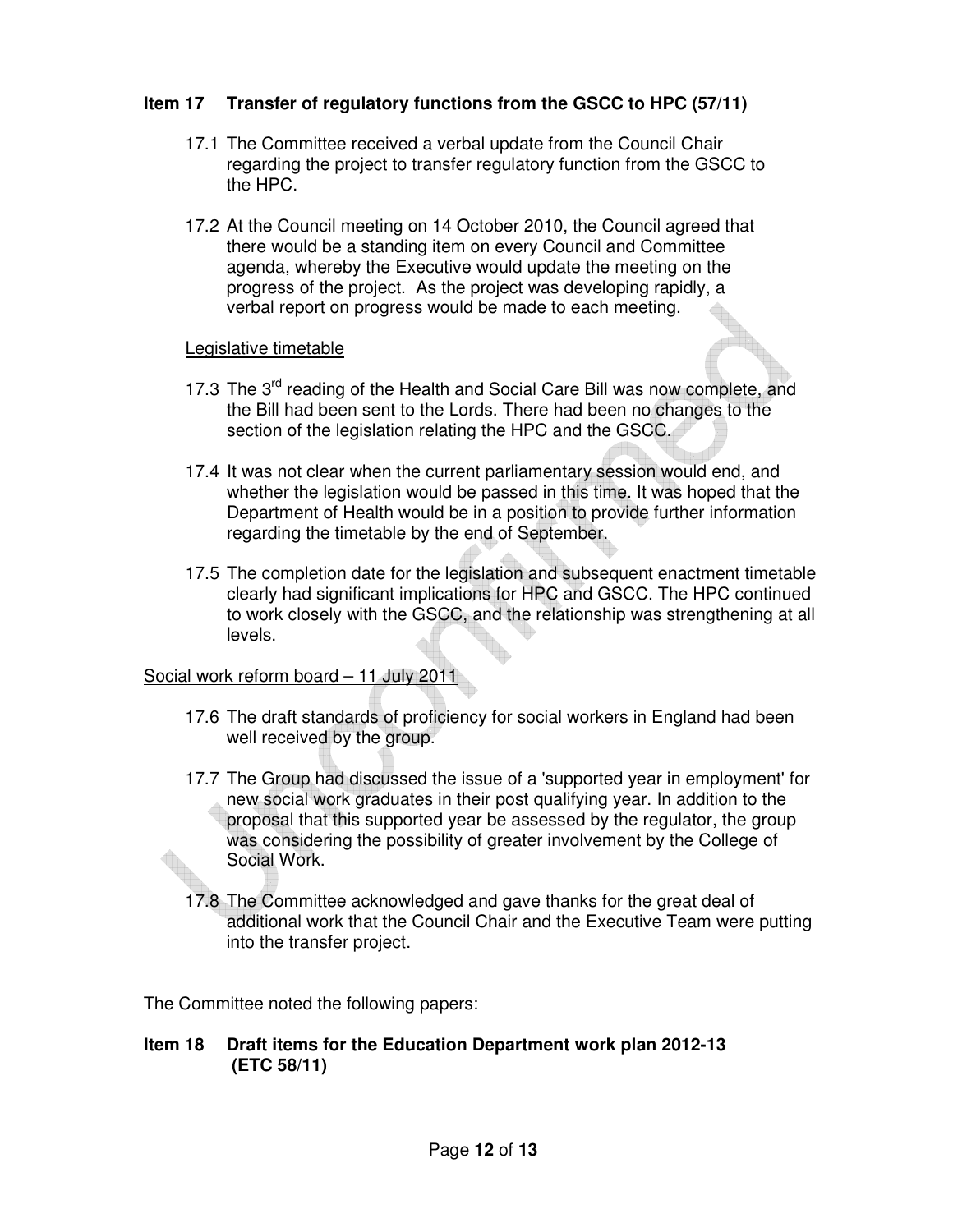## **Item 17 Transfer of regulatory functions from the GSCC to HPC (57/11)**

- 17.1 The Committee received a verbal update from the Council Chair regarding the project to transfer regulatory function from the GSCC to the HPC.
- 17.2 At the Council meeting on 14 October 2010, the Council agreed that there would be a standing item on every Council and Committee agenda, whereby the Executive would update the meeting on the progress of the project. As the project was developing rapidly, a verbal report on progress would be made to each meeting.

#### Legislative timetable

- 17.3 The 3<sup>rd</sup> reading of the Health and Social Care Bill was now complete, and the Bill had been sent to the Lords. There had been no changes to the section of the legislation relating the HPC and the GSCC.
- 17.4 It was not clear when the current parliamentary session would end, and whether the legislation would be passed in this time. It was hoped that the Department of Health would be in a position to provide further information regarding the timetable by the end of September.
- 17.5 The completion date for the legislation and subsequent enactment timetable clearly had significant implications for HPC and GSCC. The HPC continued to work closely with the GSCC, and the relationship was strengthening at all levels.

#### Social work reform board – 11 July 2011

- 17.6 The draft standards of proficiency for social workers in England had been well received by the group.
- 17.7 The Group had discussed the issue of a 'supported year in employment' for new social work graduates in their post qualifying year. In addition to the proposal that this supported year be assessed by the regulator, the group was considering the possibility of greater involvement by the College of Social Work.
- 17.8 The Committee acknowledged and gave thanks for the great deal of additional work that the Council Chair and the Executive Team were putting into the transfer project.

The Committee noted the following papers:

#### **Item 18 Draft items for the Education Department work plan 2012-13 (ETC 58/11)**